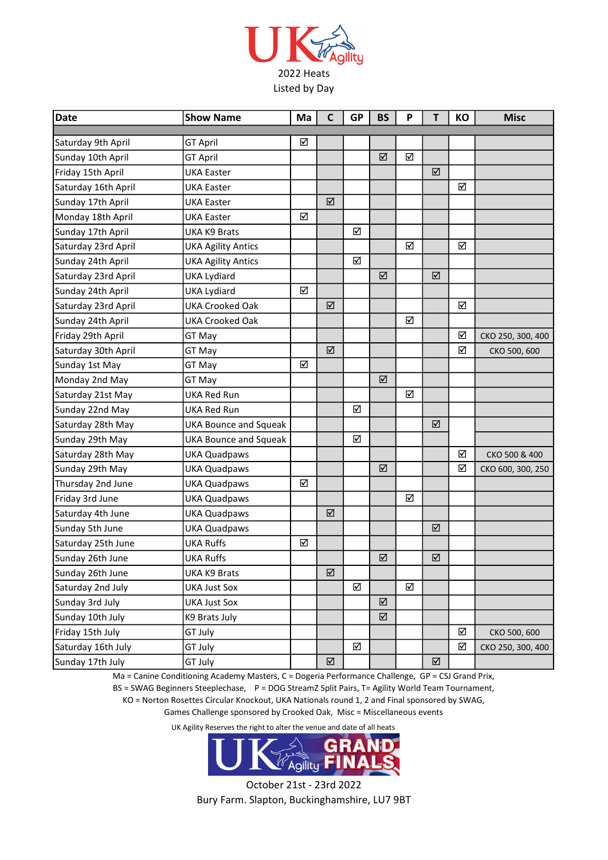

| Date                | <b>Show Name</b>             | Ma | $\mathsf{C}$ | <b>GP</b> | <b>BS</b> | P | T | КO | <b>Misc</b>       |
|---------------------|------------------------------|----|--------------|-----------|-----------|---|---|----|-------------------|
| Saturday 9th April  | <b>GT April</b>              | ☑  |              |           |           |   |   |    |                   |
| Sunday 10th April   | <b>GT April</b>              |    |              |           | ☑         | ☑ |   |    |                   |
| Friday 15th April   | <b>UKA Easter</b>            |    |              |           |           |   | ☑ |    |                   |
| Saturday 16th April | <b>UKA Easter</b>            |    |              |           |           |   |   | ☑  |                   |
| Sunday 17th April   | <b>UKA Easter</b>            |    | ☑            |           |           |   |   |    |                   |
| Monday 18th April   | <b>UKA Easter</b>            | ☑  |              |           |           |   |   |    |                   |
| Sunday 17th April   | <b>UKA K9 Brats</b>          |    |              | ☑         |           |   |   |    |                   |
| Saturday 23rd April | <b>UKA Agility Antics</b>    |    |              |           |           | ☑ |   | ☑  |                   |
| Sunday 24th April   | <b>UKA Agility Antics</b>    |    |              | ☑         |           |   |   |    |                   |
| Saturday 23rd April | <b>UKA Lydiard</b>           |    |              |           | ☑         |   | ☑ |    |                   |
| Sunday 24th April   | <b>UKA Lydiard</b>           | ☑  |              |           |           |   |   |    |                   |
| Saturday 23rd April | <b>UKA Crooked Oak</b>       |    | ☑            |           |           |   |   | ☑  |                   |
| Sunday 24th April   | <b>UKA Crooked Oak</b>       |    |              |           |           | ☑ |   |    |                   |
| Friday 29th April   | GT May                       |    |              |           |           |   |   | ☑  | CKO 250, 300, 400 |
| Saturday 30th April | GT May                       |    | ☑            |           |           |   |   | ☑  | CKO 500, 600      |
| Sunday 1st May      | GT May                       | ☑  |              |           |           |   |   |    |                   |
| Monday 2nd May      | GT May                       |    |              |           | ☑         |   |   |    |                   |
| Saturday 21st May   | <b>UKA Red Run</b>           |    |              |           |           | ☑ |   |    |                   |
| Sunday 22nd May     | <b>UKA Red Run</b>           |    |              | ☑         |           |   |   |    |                   |
| Saturday 28th May   | <b>UKA Bounce and Squeak</b> |    |              |           |           |   | ☑ |    |                   |
| Sunday 29th May     | <b>UKA Bounce and Squeak</b> |    |              | ☑         |           |   |   |    |                   |
| Saturday 28th May   | <b>UKA Quadpaws</b>          |    |              |           |           |   |   | ☑  | CKO 500 & 400     |
| Sunday 29th May     | <b>UKA Quadpaws</b>          |    |              |           | ☑         |   |   | ☑  | CKO 600, 300, 250 |
| Thursday 2nd June   | <b>UKA Quadpaws</b>          | ☑  |              |           |           |   |   |    |                   |
| Friday 3rd June     | <b>UKA Quadpaws</b>          |    |              |           |           | ☑ |   |    |                   |
| Saturday 4th June   | <b>UKA Quadpaws</b>          |    | ☑            |           |           |   |   |    |                   |
| Sunday 5th June     | <b>UKA Quadpaws</b>          |    |              |           |           |   | ☑ |    |                   |
| Saturday 25th June  | <b>UKA Ruffs</b>             | ☑  |              |           |           |   |   |    |                   |
| Sunday 26th June    | <b>UKA Ruffs</b>             |    |              |           | ☑         |   | ☑ |    |                   |
| Sunday 26th June    | UKA K9 Brats                 |    | ☑            |           |           |   |   |    |                   |
| Saturday 2nd July   | <b>UKA Just Sox</b>          |    |              | ☑         |           | ☑ |   |    |                   |
| Sunday 3rd July     | <b>UKA Just Sox</b>          |    |              |           | ☑         |   |   |    |                   |
| Sunday 10th July    | K9 Brats July                |    |              |           | ☑         |   |   |    |                   |
| Friday 15th July    | GT July                      |    |              |           |           |   |   | ☑  | CKO 500, 600      |
| Saturday 16th July  | GT July                      |    |              | ☑         |           |   |   | ☑  | CKO 250, 300, 400 |
| Sunday 17th July    | GT July                      |    | ☑            |           |           |   | ☑ |    |                   |

Ma = Canine Conditioning Academy Masters, C = Dogeria Performance Challenge, GP = CSJ Grand Prix,

BS = SWAG Beginners Steeplechase, P = DOG StreamZ Split Pairs, T= Agility World Team Tournament,

KO = Norton Rosettes Circular Knockout, UKA Nationals round 1, 2 and Final sponsored by SWAG,

Games Challenge sponsored by Crooked Oak, Misc = Miscellaneous events

UK Agility Reserves the right to alter the venue and date of all heats



October 21st - 23rd 2022 Bury Farm. Slapton, Buckinghamshire, LU7 9BT